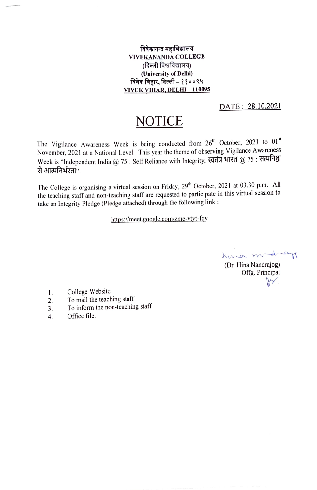## विवेकानन्द महाविद्यालय VIVEKANANDA COLLEGE<br>(दिल्ली विश्वविद्यालय) (University of Delhi) विवेक विहार, दिल्ली - ११००९५ VIVEK VIHAR, DELHI-110095

## DATE: 28.10.2021

## NOTICE

The Vigilance Awareness Week is being conducted from 26<sup>th</sup> October, 2021 to 01<sup>st</sup> November, 2021 at a National Level. This year the theme of observing Vigilance Awareness Week is "Independent India @ 75: Self Reliance with Integrity; स्वतंत्र भारत @ 75: सत्यनिष्ठा से आत्मनिर्भरतां"

The College is organising a virtual session on Friday, 29<sup>th</sup> October, 2021 at 03.30 p.m. All the teaching staff and non-teaching staff are requested to participate in this virtual session to take an Integrity Pledge (Pledge attached) through the following link :

https:/mect.google.com/zme-vtyt-fqy

king modray (Dr. Hina Nandrajog) Offg. Principal

- College Website 1.
- To mail the teaching staff 2.
- To inform the non-teaching staff 3.
- Office file. 4.